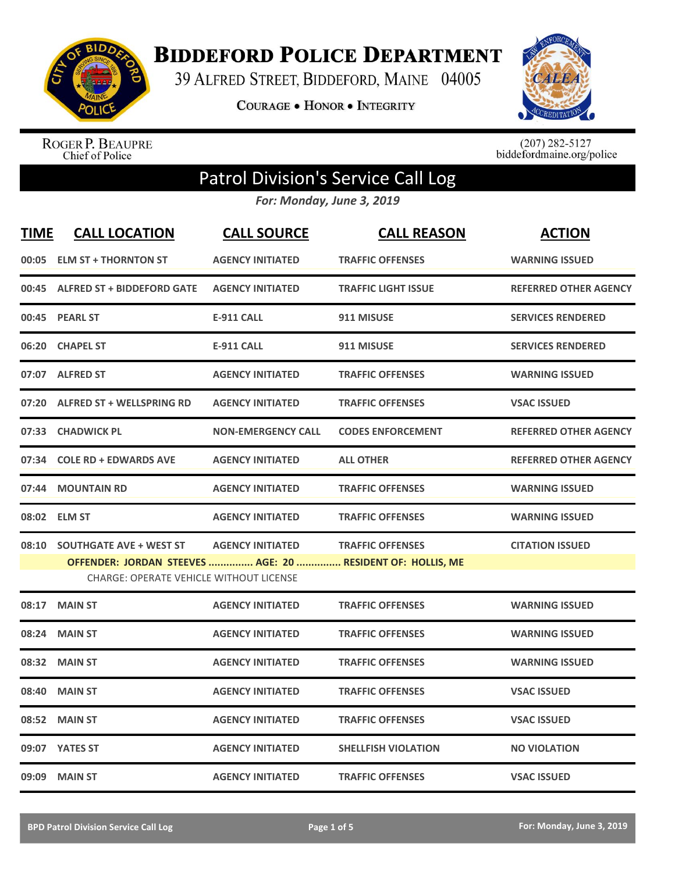

**BIDDEFORD POLICE DEPARTMENT** 

39 ALFRED STREET, BIDDEFORD, MAINE 04005

**COURAGE . HONOR . INTEGRITY** 



ROGER P. BEAUPRE<br>Chief of Police

 $(207)$  282-5127<br>biddefordmaine.org/police

## Patrol Division's Service Call Log

*For: Monday, June 3, 2019*

| <b>TIME</b> | <b>CALL LOCATION</b>                                                                                         | <b>CALL SOURCE</b>        | <b>CALL REASON</b>         | <b>ACTION</b>                |
|-------------|--------------------------------------------------------------------------------------------------------------|---------------------------|----------------------------|------------------------------|
|             | 00:05 ELM ST + THORNTON ST                                                                                   | <b>AGENCY INITIATED</b>   | <b>TRAFFIC OFFENSES</b>    | <b>WARNING ISSUED</b>        |
|             | 00:45 ALFRED ST + BIDDEFORD GATE                                                                             | <b>AGENCY INITIATED</b>   | <b>TRAFFIC LIGHT ISSUE</b> | <b>REFERRED OTHER AGENCY</b> |
|             | 00:45 PEARL ST                                                                                               | <b>E-911 CALL</b>         | 911 MISUSE                 | <b>SERVICES RENDERED</b>     |
| 06:20       | <b>CHAPEL ST</b>                                                                                             | <b>E-911 CALL</b>         | 911 MISUSE                 | <b>SERVICES RENDERED</b>     |
|             | 07:07 ALFRED ST                                                                                              | <b>AGENCY INITIATED</b>   | <b>TRAFFIC OFFENSES</b>    | <b>WARNING ISSUED</b>        |
| 07:20       | <b>ALFRED ST + WELLSPRING RD</b>                                                                             | <b>AGENCY INITIATED</b>   | <b>TRAFFIC OFFENSES</b>    | <b>VSAC ISSUED</b>           |
| 07:33       | <b>CHADWICK PL</b>                                                                                           | <b>NON-EMERGENCY CALL</b> | <b>CODES ENFORCEMENT</b>   | <b>REFERRED OTHER AGENCY</b> |
| 07:34       | <b>COLE RD + EDWARDS AVE</b>                                                                                 | <b>AGENCY INITIATED</b>   | <b>ALL OTHER</b>           | <b>REFERRED OTHER AGENCY</b> |
| 07:44       | <b>MOUNTAIN RD</b>                                                                                           | <b>AGENCY INITIATED</b>   | <b>TRAFFIC OFFENSES</b>    | <b>WARNING ISSUED</b>        |
|             | 08:02 ELM ST                                                                                                 | <b>AGENCY INITIATED</b>   | <b>TRAFFIC OFFENSES</b>    | <b>WARNING ISSUED</b>        |
| 08:10       | <b>SOUTHGATE AVE + WEST ST</b>                                                                               | <b>AGENCY INITIATED</b>   | <b>TRAFFIC OFFENSES</b>    | <b>CITATION ISSUED</b>       |
|             | OFFENDER: JORDAN STEEVES  AGE: 20  RESIDENT OF: HOLLIS, ME<br><b>CHARGE: OPERATE VEHICLE WITHOUT LICENSE</b> |                           |                            |                              |
| 08:17       | <b>MAIN ST</b>                                                                                               | <b>AGENCY INITIATED</b>   | <b>TRAFFIC OFFENSES</b>    | <b>WARNING ISSUED</b>        |
| 08:24       | <b>MAIN ST</b>                                                                                               | <b>AGENCY INITIATED</b>   | <b>TRAFFIC OFFENSES</b>    | <b>WARNING ISSUED</b>        |
| 08:32       | <b>MAIN ST</b>                                                                                               | <b>AGENCY INITIATED</b>   | <b>TRAFFIC OFFENSES</b>    | <b>WARNING ISSUED</b>        |
| 08:40       | <b>MAIN ST</b>                                                                                               | <b>AGENCY INITIATED</b>   | <b>TRAFFIC OFFENSES</b>    | <b>VSAC ISSUED</b>           |
|             | 08:52 MAIN ST                                                                                                | <b>AGENCY INITIATED</b>   | <b>TRAFFIC OFFENSES</b>    | <b>VSAC ISSUED</b>           |
|             | 09:07 YATES ST                                                                                               | <b>AGENCY INITIATED</b>   | <b>SHELLFISH VIOLATION</b> | <b>NO VIOLATION</b>          |
|             | 09:09 MAIN ST                                                                                                | <b>AGENCY INITIATED</b>   | <b>TRAFFIC OFFENSES</b>    | <b>VSAC ISSUED</b>           |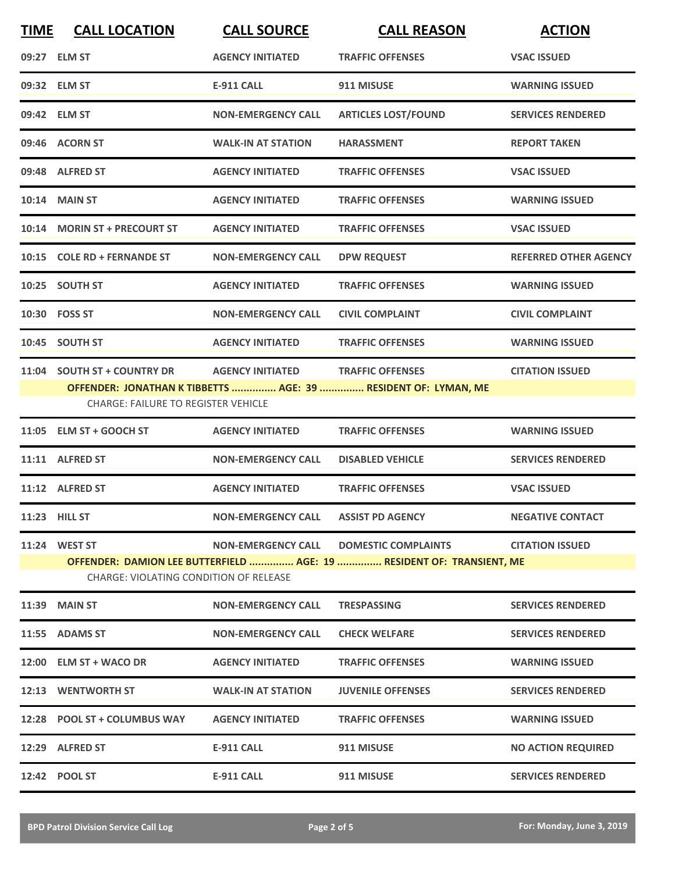| <b>TIME</b>   | <b>CALL LOCATION</b>                       | <b>CALL SOURCE</b>        | <b>CALL REASON</b>                                                                        | <b>ACTION</b>                |
|---------------|--------------------------------------------|---------------------------|-------------------------------------------------------------------------------------------|------------------------------|
|               | 09:27 ELM ST                               | <b>AGENCY INITIATED</b>   | <b>TRAFFIC OFFENSES</b>                                                                   | <b>VSAC ISSUED</b>           |
|               | 09:32 ELM ST                               | <b>E-911 CALL</b>         | 911 MISUSE                                                                                | <b>WARNING ISSUED</b>        |
|               | 09:42 ELM ST                               | <b>NON-EMERGENCY CALL</b> | <b>ARTICLES LOST/FOUND</b>                                                                | <b>SERVICES RENDERED</b>     |
|               | 09:46 ACORN ST                             | <b>WALK-IN AT STATION</b> | <b>HARASSMENT</b>                                                                         | <b>REPORT TAKEN</b>          |
|               | 09:48 ALFRED ST                            | <b>AGENCY INITIATED</b>   | <b>TRAFFIC OFFENSES</b>                                                                   | <b>VSAC ISSUED</b>           |
|               | <b>10:14 MAIN ST</b>                       | <b>AGENCY INITIATED</b>   | <b>TRAFFIC OFFENSES</b>                                                                   | <b>WARNING ISSUED</b>        |
|               | 10:14 MORIN ST + PRECOURT ST               | <b>AGENCY INITIATED</b>   | <b>TRAFFIC OFFENSES</b>                                                                   | <b>VSAC ISSUED</b>           |
|               | 10:15 COLE RD + FERNANDE ST                | <b>NON-EMERGENCY CALL</b> | <b>DPW REQUEST</b>                                                                        | <b>REFERRED OTHER AGENCY</b> |
|               | 10:25 SOUTH ST                             | <b>AGENCY INITIATED</b>   | <b>TRAFFIC OFFENSES</b>                                                                   | <b>WARNING ISSUED</b>        |
|               | 10:30 FOSS ST                              | <b>NON-EMERGENCY CALL</b> | <b>CIVIL COMPLAINT</b>                                                                    | <b>CIVIL COMPLAINT</b>       |
|               | 10:45 SOUTH ST                             | <b>AGENCY INITIATED</b>   | <b>TRAFFIC OFFENSES</b>                                                                   | <b>WARNING ISSUED</b>        |
|               | 11:04 SOUTH ST + COUNTRY DR                | <b>AGENCY INITIATED</b>   | <b>TRAFFIC OFFENSES</b><br>OFFENDER: JONATHAN K TIBBETTS  AGE: 39  RESIDENT OF: LYMAN, ME | <b>CITATION ISSUED</b>       |
|               | <b>CHARGE: FAILURE TO REGISTER VEHICLE</b> |                           |                                                                                           |                              |
|               | 11:05 ELM ST + GOOCH ST                    | <b>AGENCY INITIATED</b>   | <b>TRAFFIC OFFENSES</b>                                                                   | <b>WARNING ISSUED</b>        |
|               | 11:11 ALFRED ST                            | <b>NON-EMERGENCY CALL</b> | <b>DISABLED VEHICLE</b>                                                                   | <b>SERVICES RENDERED</b>     |
|               | 11:12 ALFRED ST                            | <b>AGENCY INITIATED</b>   | <b>TRAFFIC OFFENSES</b>                                                                   | <b>VSAC ISSUED</b>           |
| 11:23 HILL ST |                                            | <b>NON-EMERGENCY CALL</b> | <b>ASSIST PD AGENCY</b>                                                                   | <b>NEGATIVE CONTACT</b>      |
|               | 11:24 WEST ST                              | <b>NON-EMERGENCY CALL</b> | <b>DOMESTIC COMPLAINTS</b>                                                                | <b>CITATION ISSUED</b>       |
|               | CHARGE: VIOLATING CONDITION OF RELEASE     |                           | OFFENDER: DAMION LEE BUTTERFIELD  AGE: 19  RESIDENT OF: TRANSIENT, ME                     |                              |
|               | <b>11:39 MAIN ST</b>                       | <b>NON-EMERGENCY CALL</b> | <b>TRESPASSING</b>                                                                        | <b>SERVICES RENDERED</b>     |
|               | 11:55 ADAMS ST                             | <b>NON-EMERGENCY CALL</b> | <b>CHECK WELFARE</b>                                                                      | <b>SERVICES RENDERED</b>     |
|               | 12:00 ELM ST + WACO DR                     | <b>AGENCY INITIATED</b>   | <b>TRAFFIC OFFENSES</b>                                                                   | <b>WARNING ISSUED</b>        |
|               | 12:13 WENTWORTH ST                         | <b>WALK-IN AT STATION</b> | <b>JUVENILE OFFENSES</b>                                                                  | <b>SERVICES RENDERED</b>     |
|               | 12:28 POOL ST + COLUMBUS WAY               | <b>AGENCY INITIATED</b>   | <b>TRAFFIC OFFENSES</b>                                                                   | <b>WARNING ISSUED</b>        |
|               | 12:29 ALFRED ST                            | <b>E-911 CALL</b>         | 911 MISUSE                                                                                | <b>NO ACTION REQUIRED</b>    |
|               | 12:42 POOL ST                              | <b>E-911 CALL</b>         | 911 MISUSE                                                                                | <b>SERVICES RENDERED</b>     |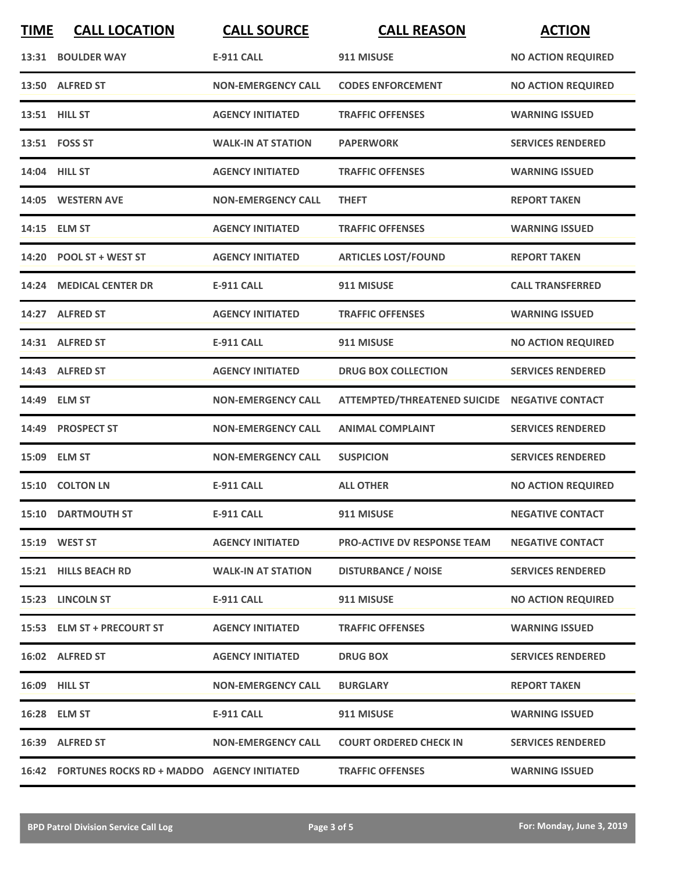| <b>TIME</b> | <b>CALL LOCATION</b>                             | <b>CALL SOURCE</b>        | <b>CALL REASON</b>                            | <b>ACTION</b>             |
|-------------|--------------------------------------------------|---------------------------|-----------------------------------------------|---------------------------|
|             | 13:31 BOULDER WAY                                | <b>E-911 CALL</b>         | 911 MISUSE                                    | <b>NO ACTION REQUIRED</b> |
|             | 13:50 ALFRED ST                                  | <b>NON-EMERGENCY CALL</b> | <b>CODES ENFORCEMENT</b>                      | <b>NO ACTION REQUIRED</b> |
|             | 13:51 HILL ST                                    | <b>AGENCY INITIATED</b>   | <b>TRAFFIC OFFENSES</b>                       | <b>WARNING ISSUED</b>     |
|             | 13:51 FOSS ST                                    | <b>WALK-IN AT STATION</b> | <b>PAPERWORK</b>                              | <b>SERVICES RENDERED</b>  |
|             | 14:04 HILL ST                                    | <b>AGENCY INITIATED</b>   | <b>TRAFFIC OFFENSES</b>                       | <b>WARNING ISSUED</b>     |
|             | 14:05 WESTERN AVE                                | <b>NON-EMERGENCY CALL</b> | <b>THEFT</b>                                  | <b>REPORT TAKEN</b>       |
|             | 14:15 ELM ST                                     | <b>AGENCY INITIATED</b>   | <b>TRAFFIC OFFENSES</b>                       | <b>WARNING ISSUED</b>     |
|             | 14:20 POOL ST + WEST ST                          | <b>AGENCY INITIATED</b>   | <b>ARTICLES LOST/FOUND</b>                    | <b>REPORT TAKEN</b>       |
|             | 14:24 MEDICAL CENTER DR                          | <b>E-911 CALL</b>         | 911 MISUSE                                    | <b>CALL TRANSFERRED</b>   |
| 14:27       | <b>ALFRED ST</b>                                 | <b>AGENCY INITIATED</b>   | <b>TRAFFIC OFFENSES</b>                       | <b>WARNING ISSUED</b>     |
|             | 14:31 ALFRED ST                                  | <b>E-911 CALL</b>         | 911 MISUSE                                    | <b>NO ACTION REQUIRED</b> |
|             | 14:43 ALFRED ST                                  | <b>AGENCY INITIATED</b>   | <b>DRUG BOX COLLECTION</b>                    | <b>SERVICES RENDERED</b>  |
|             | 14:49 ELM ST                                     | <b>NON-EMERGENCY CALL</b> | ATTEMPTED/THREATENED SUICIDE NEGATIVE CONTACT |                           |
|             | 14:49 PROSPECT ST                                | <b>NON-EMERGENCY CALL</b> | <b>ANIMAL COMPLAINT</b>                       | <b>SERVICES RENDERED</b>  |
|             | 15:09 ELM ST                                     | <b>NON-EMERGENCY CALL</b> | <b>SUSPICION</b>                              | <b>SERVICES RENDERED</b>  |
| 15:10       | <b>COLTON LN</b>                                 | <b>E-911 CALL</b>         | <b>ALL OTHER</b>                              | <b>NO ACTION REQUIRED</b> |
|             | 15:10 DARTMOUTH ST                               | E-911 CALL                | 911 MISUSE                                    | <b>NEGATIVE CONTACT</b>   |
|             | 15:19 WEST ST                                    | <b>AGENCY INITIATED</b>   | <b>PRO-ACTIVE DV RESPONSE TEAM</b>            | <b>NEGATIVE CONTACT</b>   |
|             | 15:21 HILLS BEACH RD                             | <b>WALK-IN AT STATION</b> | <b>DISTURBANCE / NOISE</b>                    | <b>SERVICES RENDERED</b>  |
|             | 15:23 LINCOLN ST                                 | <b>E-911 CALL</b>         | 911 MISUSE                                    | <b>NO ACTION REQUIRED</b> |
|             | 15:53 ELM ST + PRECOURT ST                       | <b>AGENCY INITIATED</b>   | <b>TRAFFIC OFFENSES</b>                       | <b>WARNING ISSUED</b>     |
|             | 16:02 ALFRED ST                                  | <b>AGENCY INITIATED</b>   | <b>DRUG BOX</b>                               | <b>SERVICES RENDERED</b>  |
|             | 16:09 HILL ST                                    | <b>NON-EMERGENCY CALL</b> | <b>BURGLARY</b>                               | <b>REPORT TAKEN</b>       |
|             | 16:28 ELM ST                                     | E-911 CALL                | 911 MISUSE                                    | <b>WARNING ISSUED</b>     |
|             | 16:39 ALFRED ST                                  | <b>NON-EMERGENCY CALL</b> | <b>COURT ORDERED CHECK IN</b>                 | <b>SERVICES RENDERED</b>  |
|             | 16:42 FORTUNES ROCKS RD + MADDO AGENCY INITIATED |                           | <b>TRAFFIC OFFENSES</b>                       | <b>WARNING ISSUED</b>     |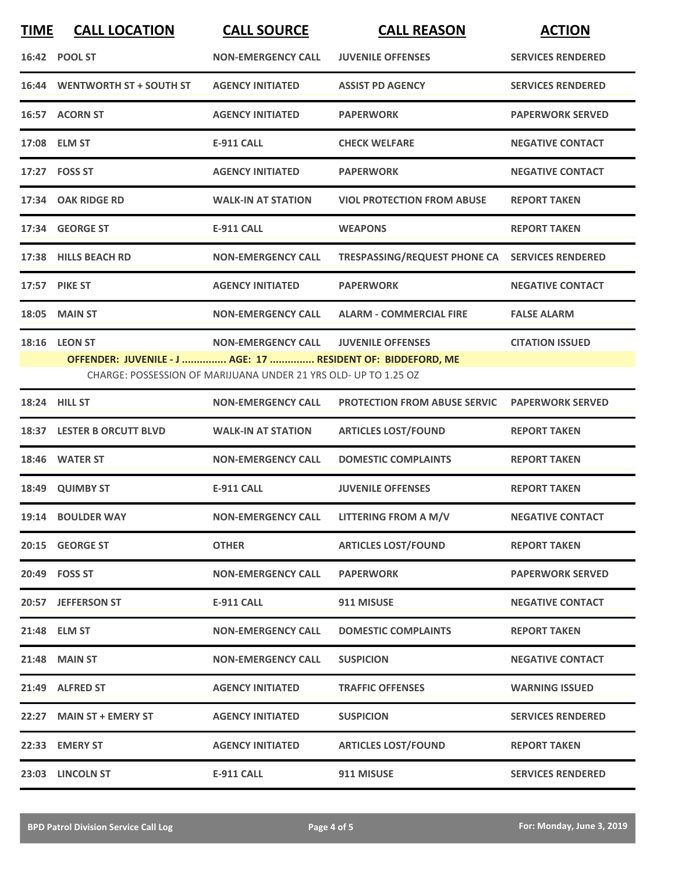| <b>TIME</b> | <b>CALL LOCATION</b>                                        | <b>CALL SOURCE</b>                                              | <b>CALL REASON</b>                             | <b>ACTION</b>            |
|-------------|-------------------------------------------------------------|-----------------------------------------------------------------|------------------------------------------------|--------------------------|
|             | 16:42 POOL ST                                               | <b>NON-EMERGENCY CALL</b>                                       | <b>JUVENILE OFFENSES</b>                       | <b>SERVICES RENDERED</b> |
|             | 16:44 WENTWORTH ST + SOUTH ST                               | <b>AGENCY INITIATED</b>                                         | <b>ASSIST PD AGENCY</b>                        | <b>SERVICES RENDERED</b> |
|             | 16:57 ACORN ST                                              | <b>AGENCY INITIATED</b>                                         | <b>PAPERWORK</b>                               | <b>PAPERWORK SERVED</b>  |
|             | 17:08 ELM ST                                                | <b>E-911 CALL</b>                                               | <b>CHECK WELFARE</b>                           | <b>NEGATIVE CONTACT</b>  |
|             | 17:27 FOSS ST                                               | <b>AGENCY INITIATED</b>                                         | <b>PAPERWORK</b>                               | <b>NEGATIVE CONTACT</b>  |
|             | 17:34 OAK RIDGE RD                                          | <b>WALK-IN AT STATION</b>                                       | <b>VIOL PROTECTION FROM ABUSE</b>              | <b>REPORT TAKEN</b>      |
|             | 17:34 GEORGE ST                                             | <b>E-911 CALL</b>                                               | <b>WEAPONS</b>                                 | <b>REPORT TAKEN</b>      |
|             | 17:38 HILLS BEACH RD                                        | <b>NON-EMERGENCY CALL</b>                                       | TRESPASSING/REQUEST PHONE CA SERVICES RENDERED |                          |
|             | <b>17:57 PIKE ST</b>                                        | <b>AGENCY INITIATED</b>                                         | <b>PAPERWORK</b>                               | <b>NEGATIVE CONTACT</b>  |
|             | <b>18:05 MAIN ST</b>                                        | <b>NON-EMERGENCY CALL</b>                                       | <b>ALARM - COMMERCIAL FIRE</b>                 | <b>FALSE ALARM</b>       |
|             | <b>18:16 LEON ST</b>                                        | <b>NON-EMERGENCY CALL</b>                                       | <b>JUVENILE OFFENSES</b>                       | <b>CITATION ISSUED</b>   |
|             | OFFENDER: JUVENILE - J  AGE: 17  RESIDENT OF: BIDDEFORD, ME | CHARGE: POSSESSION OF MARIJUANA UNDER 21 YRS OLD- UP TO 1.25 OZ |                                                |                          |
|             | <b>18:24 HILL ST</b>                                        | <b>NON-EMERGENCY CALL</b>                                       | <b>PROTECTION FROM ABUSE SERVIC</b>            | <b>PAPERWORK SERVED</b>  |
|             | 18:37 LESTER B ORCUTT BLVD                                  | <b>WALK-IN AT STATION</b>                                       | <b>ARTICLES LOST/FOUND</b>                     | <b>REPORT TAKEN</b>      |
|             | 18:46 WATER ST                                              | <b>NON-EMERGENCY CALL</b>                                       | <b>DOMESTIC COMPLAINTS</b>                     | <b>REPORT TAKEN</b>      |
| 18:49       | <b>QUIMBY ST</b>                                            | <b>E-911 CALL</b>                                               | <b>JUVENILE OFFENSES</b>                       | <b>REPORT TAKEN</b>      |
|             | 19:14 BOULDER WAY                                           | <b>NON-EMERGENCY CALL</b>                                       | <b>LITTERING FROM A M/V</b>                    | <b>NEGATIVE CONTACT</b>  |
|             | 20:15 GEORGE ST                                             | <b>OTHER</b>                                                    | <b>ARTICLES LOST/FOUND</b>                     | <b>REPORT TAKEN</b>      |
|             | 20:49 FOSS ST                                               | <b>NON-EMERGENCY CALL</b>                                       | <b>PAPERWORK</b>                               | <b>PAPERWORK SERVED</b>  |
|             | 20:57 JEFFERSON ST                                          | <b>E-911 CALL</b>                                               | 911 MISUSE                                     | <b>NEGATIVE CONTACT</b>  |
|             | 21:48 ELM ST                                                | <b>NON-EMERGENCY CALL</b>                                       | <b>DOMESTIC COMPLAINTS</b>                     | <b>REPORT TAKEN</b>      |
|             | 21:48 MAIN ST                                               | <b>NON-EMERGENCY CALL</b>                                       | <b>SUSPICION</b>                               | <b>NEGATIVE CONTACT</b>  |
|             | 21:49 ALFRED ST                                             | <b>AGENCY INITIATED</b>                                         | <b>TRAFFIC OFFENSES</b>                        | <b>WARNING ISSUED</b>    |
|             | 22:27 MAIN ST + EMERY ST                                    | <b>AGENCY INITIATED</b>                                         | <b>SUSPICION</b>                               | <b>SERVICES RENDERED</b> |
|             | 22:33 EMERY ST                                              | <b>AGENCY INITIATED</b>                                         | <b>ARTICLES LOST/FOUND</b>                     | <b>REPORT TAKEN</b>      |
|             | 23:03 LINCOLN ST                                            | <b>E-911 CALL</b>                                               | 911 MISUSE                                     | <b>SERVICES RENDERED</b> |